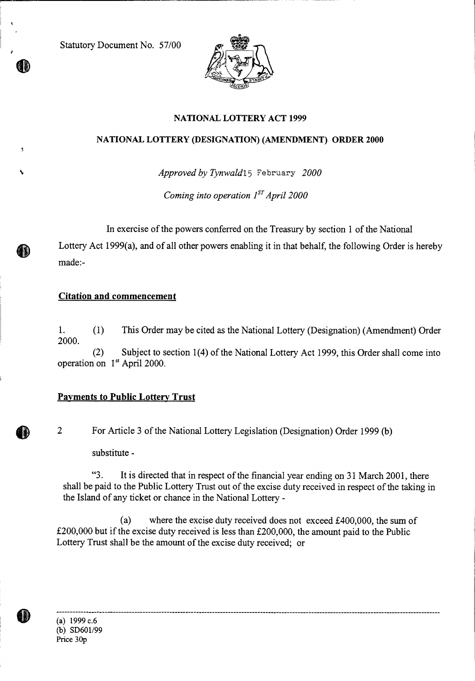Statutory Document No. 57/00



## NATIONAL LOTTERY ACT 1999

#### NATIONAL LOTTERY (DESIGNATION) (AMENDMENT) ORDER 2000

*Approved by Tynwald* 15 February 2000

*Coming into operation 1<sup>ST</sup> April 2000* 

In exercise of the powers conferred on the Treasury by section 1 of the National Lottery Act 1999(a), and of all other powers enabling it in that behalf, the following Order is hereby made:-

### **Citation and commencement**

ID)

1. (1) This Order may be cited as the National Lottery (Designation) (Amendment) Order 2000.

(2) Subject to section 1(4) of the National Lottery Act 1999, this Order shall come into operation on 1<sup>st</sup> April 2000.

# **Payments to Public Lottery Trust**

2 For Article 3 of the National Lottery Legislation (Designation) Order 1999 (b)

substitute -

"3. It is directed that in respect of the financial year ending on 31 March 2001, there shall be paid to the Public Lottery Trust out of the excise duty received in respect of the taking in the Island of any ticket or chance in the National Lottery -

(a) where the excise duty received does not exceed £400,000, the sum of £200,000 but if the excise duty received is less than £200,000, the amount paid to the Public Lottery Trust shall be the amount of the excise duty received; or